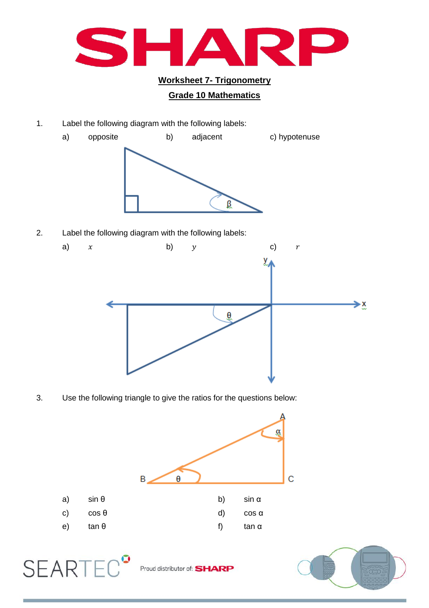

## **Grade 10 Mathematics**

1. Label the following diagram with the following labels:



2. Label the following diagram with the following labels:



3. Use the following triangle to give the ratios for the questions below:



Proud distributor of: SHARP

**SEARTE** 

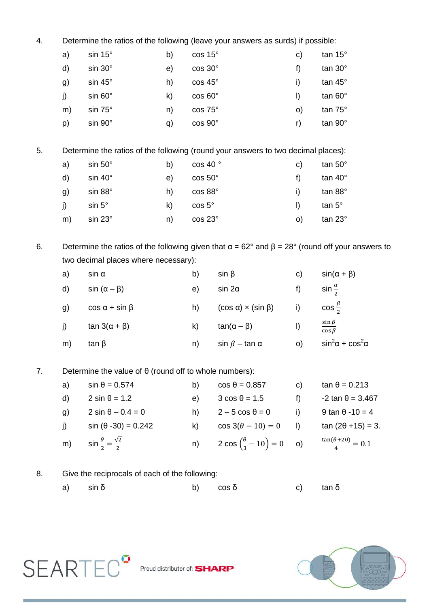| 4.                                                                  | Determine the ratios of the following (leave your answers as surds) if possible:                             |                                                |    |                 |                                                |           |                                         |  |
|---------------------------------------------------------------------|--------------------------------------------------------------------------------------------------------------|------------------------------------------------|----|-----------------|------------------------------------------------|-----------|-----------------------------------------|--|
|                                                                     | a)                                                                                                           | $sin 15^\circ$                                 | b) | cos 15°         |                                                | c)        | tan 15°                                 |  |
|                                                                     | d)                                                                                                           | $sin 30^\circ$                                 | e) | cos 30°         |                                                | f)        | tan 30°                                 |  |
|                                                                     | g)                                                                                                           | sin 45°                                        | h) | cos 45°         |                                                | i)        | tan 45°                                 |  |
|                                                                     | j)                                                                                                           | $sin 60^\circ$                                 | k) | $\cos 60^\circ$ |                                                | $\vert$   | tan 60°                                 |  |
|                                                                     | m)                                                                                                           | sin 75°                                        | n) | cos 75°         |                                                | O)        | tan 75°                                 |  |
|                                                                     | p)                                                                                                           | sin 90°                                        | q) | cos 90°         |                                                | r)        | tan 90°                                 |  |
| 5.                                                                  | Determine the ratios of the following (round your answers to two decimal places):                            |                                                |    |                 |                                                |           |                                         |  |
|                                                                     | a)                                                                                                           | $sin 50^\circ$<br>b)                           |    | cos 40 °        |                                                | c)        | tan 50°                                 |  |
|                                                                     | d)                                                                                                           | $sin 40^\circ$                                 | e) | $\cos 50^\circ$ |                                                | f)        | tan 40°                                 |  |
|                                                                     | g)                                                                                                           | sin 88°                                        | h) | cos 88°         |                                                | i)        | tan 88°                                 |  |
|                                                                     | j)                                                                                                           | $sin 5^\circ$                                  | k) | cos 5°          |                                                | $\vert$   | $tan 5^\circ$                           |  |
|                                                                     | m)                                                                                                           | sin 23°                                        | n) | cos 23°         |                                                | o)        | tan 23°                                 |  |
| 6.                                                                  | Determine the ratios of the following given that $\alpha$ = 62° and $\beta$ = 28° (round off your answers to |                                                |    |                 |                                                |           |                                         |  |
|                                                                     | two decimal places where necessary):                                                                         |                                                |    |                 |                                                |           |                                         |  |
|                                                                     | a)                                                                                                           | $sin \alpha$                                   |    | b)              | $sin \beta$                                    | c)        | $sin(\alpha + \beta)$                   |  |
|                                                                     | d)                                                                                                           | $sin(\alpha - \beta)$                          |    | e)              | $sin 2\alpha$                                  | f)        | sin $\frac{\alpha}{2}$                  |  |
|                                                                     | g)                                                                                                           | $\cos \alpha + \sin \beta$                     |    | h)              | $(cos \alpha) \times (sin \beta)$              | i)        | $\cos\frac{\beta}{2}$                   |  |
|                                                                     | j)                                                                                                           | $\tan 3(\alpha + \beta)$                       |    | k)              | $tan(\alpha - \beta)$                          | I)        | $\sin \beta$<br>$\overline{\cos \beta}$ |  |
|                                                                     | m)                                                                                                           | tan $\beta$                                    |    | n)              | $\sin \beta - \tan \alpha$                     | o)        | $\sin^2\!\alpha + \cos^2\!\alpha$       |  |
| Determine the value of $\theta$ (round off to whole numbers):<br>7. |                                                                                                              |                                                |    |                 |                                                |           |                                         |  |
|                                                                     | a)                                                                                                           | $sin \theta = 0.574$                           |    | b)              | $\cos \theta = 0.857$                          | C)        | $\tan \theta = 0.213$                   |  |
|                                                                     | d)                                                                                                           | $2 \sin \theta = 1.2$                          |    | e)              | $3 \cos \theta = 1.5$                          | f)        | $-2 \tan \theta = 3.467$                |  |
|                                                                     | g)                                                                                                           | $2 \sin \theta - 0.4 = 0$                      |    | h)              | $2-5 \cos \theta = 0$                          | i)        | 9 tan $\theta$ -10 = 4                  |  |
|                                                                     | j)                                                                                                           | $sin (\theta - 30) = 0.242$                    |    |                 | k) $\cos 3(\theta - 10) = 0$                   | $\vert$ ) | $tan(2\theta + 15) = 3.$                |  |
|                                                                     | m)                                                                                                           | $\sin \frac{\theta}{2} = \frac{\sqrt{2}}{2}$   |    | n)              | 2 cos $\left(\frac{\theta}{3} - 10\right) = 0$ | O         | $\frac{\tan(\theta + 20)}{4} = 0.1$     |  |
| 8.                                                                  |                                                                                                              | Give the reciprocals of each of the following: |    |                 |                                                |           |                                         |  |

a) sin δ b)  $\cos \delta$  c) tan δ



SEARTEC<sup>9</sup> Proud distributor of: SHARP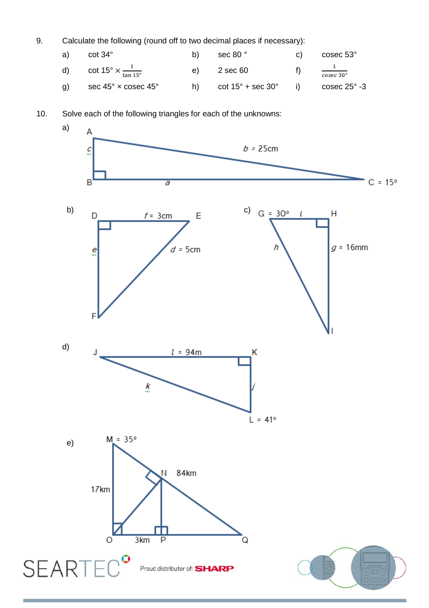9. Calculate the following (round off to two decimal places if necessary):

|    | a) $\cot 34^\circ$                                   | b) | sec 80 °                                                 | C) | cosec 53°                           |
|----|------------------------------------------------------|----|----------------------------------------------------------|----|-------------------------------------|
|    | d) cot $15^{\circ} \times \frac{1}{\tan 15^{\circ}}$ |    | $e)$ 2 sec 60                                            |    | $\frac{1}{\text{cosec }30^{\circ}}$ |
| g) | sec 45° $\times$ cosec 45°                           |    | h) $\cot 15^\circ + \sec 30^\circ$ i) $\csc 25^\circ -3$ |    |                                     |

10. Solve each of the following triangles for each of the unknowns: